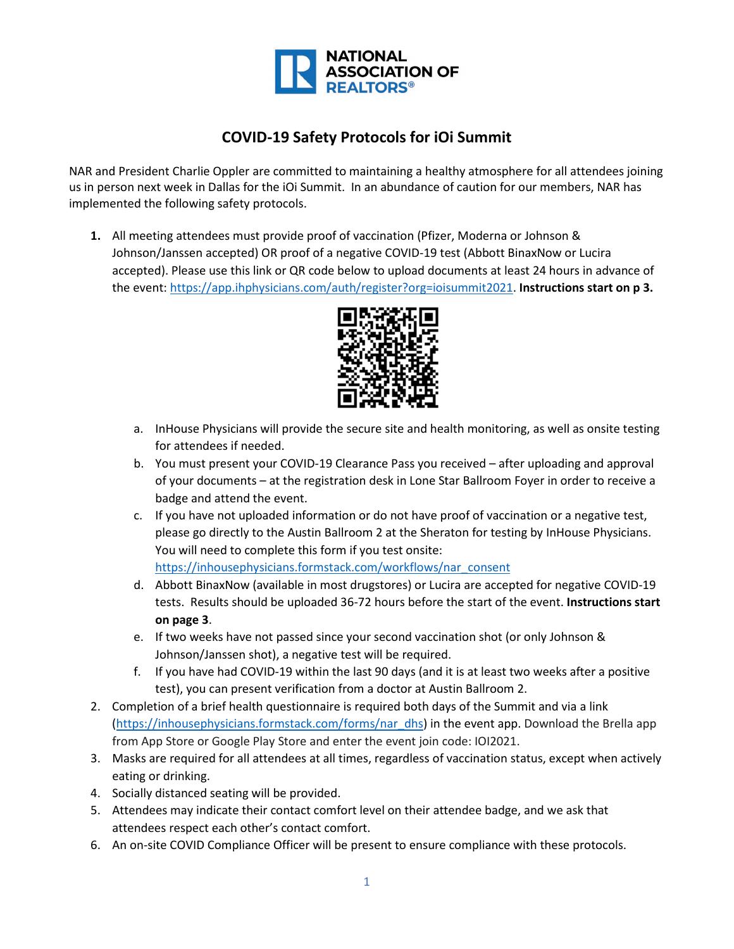

## **COVID-19 Safety Protocols for iOi Summit**

NAR and President Charlie Oppler are committed to maintaining a healthy atmosphere for all attendees joining us in person next week in Dallas for the iOi Summit. In an abundance of caution for our members, NAR has implemented the following safety protocols.

**1.** All meeting attendees must provide proof of vaccination (Pfizer, Moderna or Johnson & Johnson/Janssen accepted) OR proof of a negative COVID-19 test (Abbott BinaxNow or Lucira accepted). Please use this link or QR code below to upload documents at least 24 hours in advance of the event: [https://app.ihphysicians.com/auth/register?org=ioisummit2021.](https://app.ihphysicians.com/auth/register?org=ioisummit2021) **Instructions start on p 3.**



- a. InHouse Physicians will provide the secure site and health monitoring, as well as onsite testing for attendees if needed.
- b. You must present your COVID-19 Clearance Pass you received after uploading and approval of your documents – at the registration desk in Lone Star Ballroom Foyer in order to receive a badge and attend the event.
- c. If you have not uploaded information or do not have proof of vaccination or a negative test, please go directly to the Austin Ballroom 2 at the Sheraton for testing by InHouse Physicians. You will need to complete this form if you test onsite: [https://inhousephysicians.formstack.com/workflows/nar\\_consent](https://inhousephysicians.formstack.com/workflows/nar_consent)
- d. Abbott BinaxNow (available in most drugstores) or Lucira are accepted for negative COVID-19 tests. Results should be uploaded 36-72 hours before the start of the event. **Instructions start on page 3**.
- e. If two weeks have not passed since your second vaccination shot (or only Johnson & Johnson/Janssen shot), a negative test will be required.
- f. If you have had COVID-19 within the last 90 days (and it is at least two weeks after a positive test), you can present verification from a doctor at Austin Ballroom 2.
- 2. Completion of a brief health questionnaire is required both days of the Summit and via a link [\(https://inhousephysicians.formstack.com/forms/nar\\_dhs\)](https://inhousephysicians.formstack.com/forms/nar_dhs) in the event app. Download the Brella app from App Store or Google Play Store and enter the event join code: IOI2021.
- 3. Masks are required for all attendees at all times, regardless of vaccination status, except when actively eating or drinking.
- 4. Socially distanced seating will be provided.
- 5. Attendees may indicate their contact comfort level on their attendee badge, and we ask that attendees respect each other's contact comfort.
- 6. An on-site COVID Compliance Officer will be present to ensure compliance with these protocols.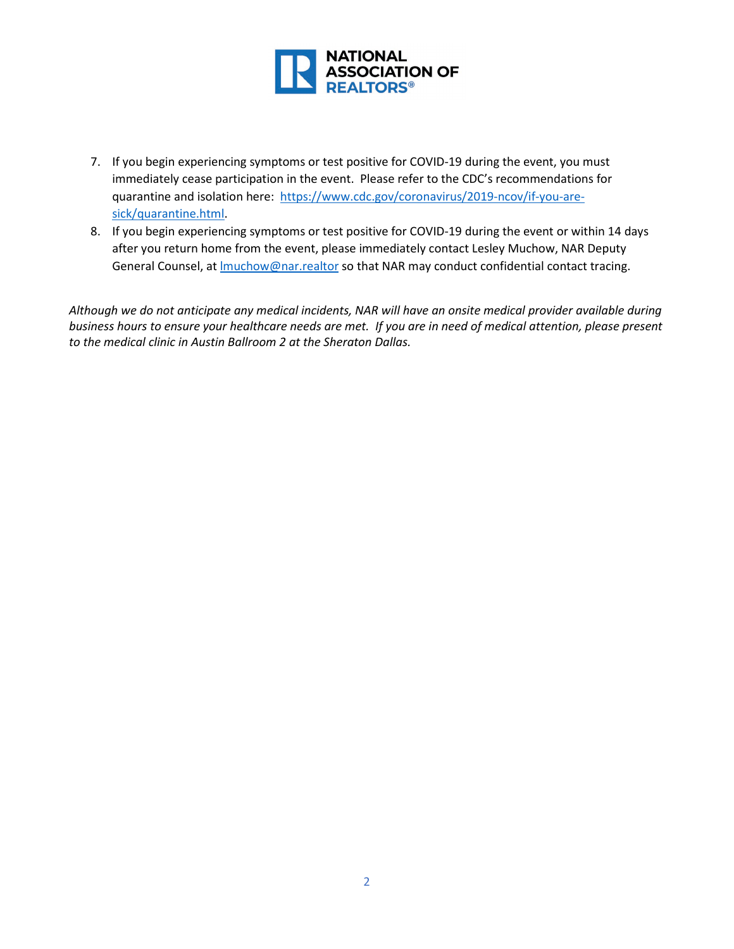

- 7. If you begin experiencing symptoms or test positive for COVID-19 during the event, you must immediately cease participation in the event. Please refer to the CDC's recommendations for quarantine and isolation here: [https://www.cdc.gov/coronavirus/2019-ncov/if-you-are](https://www.cdc.gov/coronavirus/2019-ncov/if-you-are-sick/quarantine.html)sick/quarantine.html
- 8. If you begin experiencing symptoms or test positive for COVID-19 during the event or within 14 days after you return home from the event, please immediately contact Lesley Muchow, NAR Deputy General Counsel, at **Imuchow@nar.realtor** so that NAR may conduct confidential contact tracing.

*Although we do not anticipate any medical incidents, NAR will have an onsite medical provider available during business hours to ensure your healthcare needs are met. If you are in need of medical attention, please present to the medical clinic in Austin Ballroom 2 at the Sheraton Dallas.*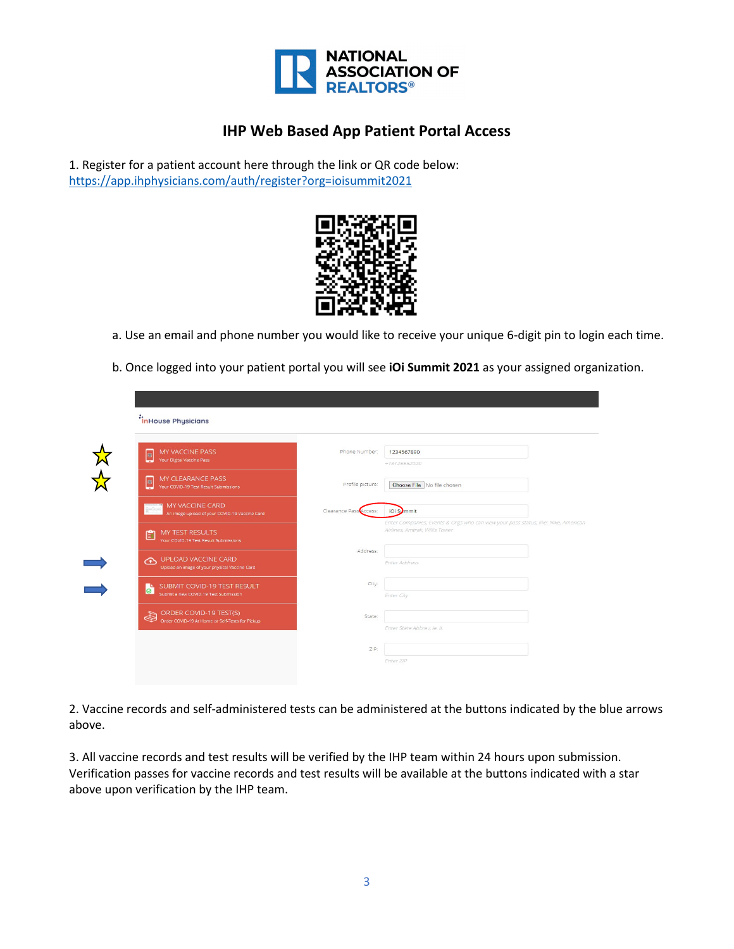

## **IHP Web Based App Patient Portal Access**

1. Register for a patient account here through the link or QR code below: <https://app.ihphysicians.com/auth/register?org=ioisummit2021>



- a. Use an email and phone number you would like to receive your unique 6-digit pin to login each time.
- b. Once logged into your patient portal you will see **iOi Summit 2021** as your assigned organization.

| <b>MY VACCINE PASS</b><br>ø<br>Your Digital Vaccine Pass<br>−                         | Phone Number:             | 1234567890                                                                                                           |
|---------------------------------------------------------------------------------------|---------------------------|----------------------------------------------------------------------------------------------------------------------|
| MY CLEARANCE PASS<br>m<br>Your COVID-19 Test Result Submissions<br>∽                  | Profile picture:          | +13125552020<br>Choose File No file chosen                                                                           |
| MY VACCINE CARD<br>An image upload of your COVID-19 Vaccine Card                      | Clearance Pass<br>Access: | IOI Symmit                                                                                                           |
| <b>MY TEST RESULTS</b><br>自<br>Your COVID-19 Test Result Submissions                  |                           | Enter Companies, Events & Orgs who can view your pass status, like: Nike, American<br>Airlines, Amtrak, Willis Tower |
| UPLOAD VACCINE CARD<br>Upload an image of your physical Vaccine Card                  | Address:                  | Enter Address                                                                                                        |
| SUBMIT COVID-19 TEST RESULT<br>n.<br>$\circ$<br>Submit a new COVID-19 Test Submission | City:                     | <b>Enter City</b>                                                                                                    |
| ORDER COVID-19 TEST(S)<br>R<br>Order COVID-19 At Home or Self-Tests for Pickup        | State:                    |                                                                                                                      |

2. Vaccine records and self-administered tests can be administered at the buttons indicated by the blue arrows above.

3. All vaccine records and test results will be verified by the IHP team within 24 hours upon submission. Verification passes for vaccine records and test results will be available at the buttons indicated with a star above upon verification by the IHP team.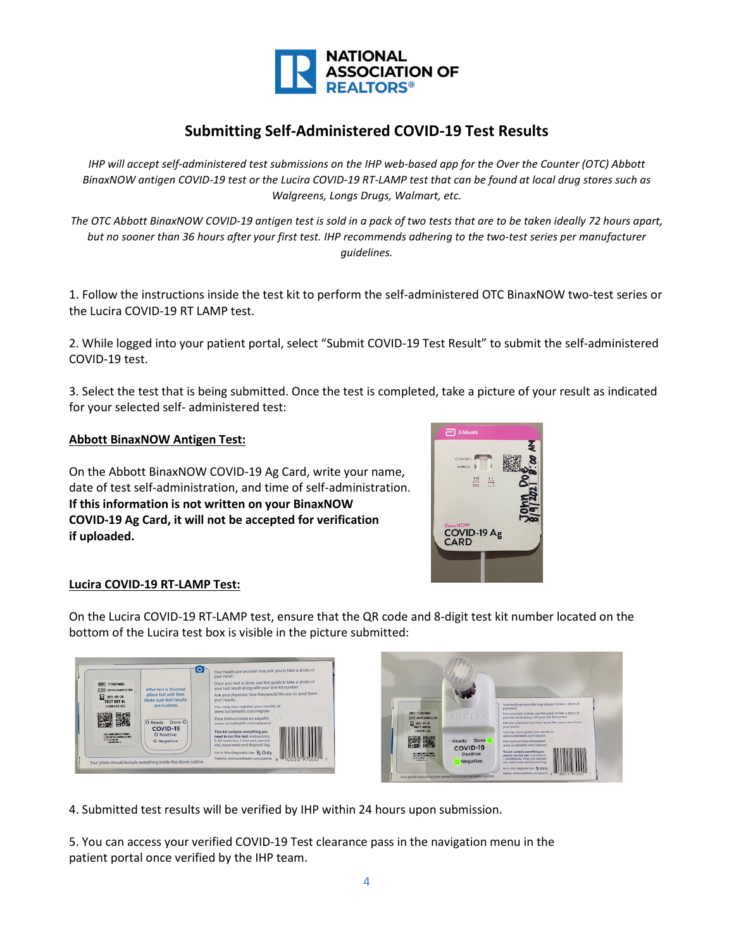

# **Submitting Self-Administered COVID-19 Test Results**

*IHP will accept self-administered test submissions on the IHP web-based app for the Over the Counter (OTC) Abbott BinaxNOW antigen COVID-19 test or the Lucira COVID-19 RT-LAMP test that can be found at local drug stores such as Walgreens, Longs Drugs, Walmart, etc.*

*The OTC Abbott BinaxNOW COVID-19 antigen test is sold in a pack of two tests that are to be taken ideally 72 hours apart, but no sooner than 36 hours after your first test. IHP recommends adhering to the two-test series per manufacturer guidelines.* 

1. Follow the instructions inside the test kit to perform the self-administered OTC BinaxNOW two-test series or the Lucira COVID-19 RT LAMP test.

2. While logged into your patient portal, select "Submit COVID-19 Test Result" to submit the self-administered COVID-19 test.

3. Select the test that is being submitted. Once the test is completed, take a picture of your result as indicated for your selected self- administered test:

#### **Abbott BinaxNOW Antigen Test:**

On the Abbott BinaxNOW COVID-19 Ag Card, write your name, date of test self-administration, and time of self-administration. **If this information is not written on your BinaxNOW COVID-19 Ag Card, it will not be accepted for verification if uploaded.** 



### **Lucira COVID-19 RT-LAMP Test:**

On the Lucira COVID-19 RT-LAMP test, ensure that the QR code and 8-digit test kit number located on the bottom of the Lucira test box is visible in the picture submitted:





4. Submitted test results will be verified by IHP within 24 hours upon submission.

5. You can access your verified COVID-19 Test clearance pass in the navigation menu in the patient portal once verified by the IHP team.